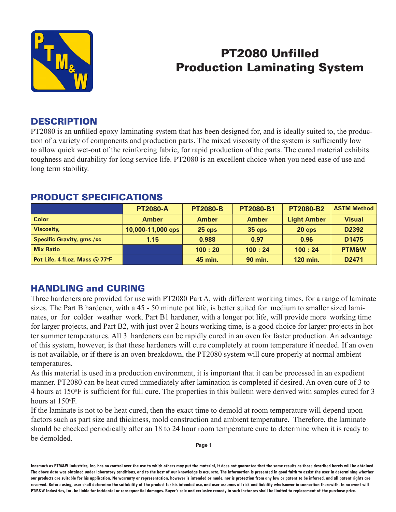

# PT2080 Unfilled Production Laminating System

## **DESCRIPTION**

PT2080 is an unfilled epoxy laminating system that has been designed for, and is ideally suited to, the production of a variety of components and production parts. The mixed viscosity of the system is sufficiently low to allow quick wet-out of the reinforcing fabric, for rapid production of the parts. The cured material exhibits toughness and durability for long service life. PT2080 is an excellent choice when you need ease of use and long term stability.

|                                | <b>PT2080-A</b>   | <b>PT2080-B</b> | <b>PT2080-B1</b> | <b>PT2080-B2</b>   | <b>ASTM Method</b> |
|--------------------------------|-------------------|-----------------|------------------|--------------------|--------------------|
| <b>Color</b>                   | <b>Amber</b>      | <b>Amber</b>    | <b>Amber</b>     | <b>Light Amber</b> | <b>Visual</b>      |
| <b>Viscosity,</b>              | 10,000-11,000 cps | $25$ cps        | <b>35 cps</b>    | $20$ cps           | D2392              |
| Specific Gravity, gms./cc      | 1.15              | 0.988           | 0.97             | 0.96               | D <sub>1475</sub>  |
| <b>Mix Ratio</b>               |                   | 100:20          | 100:24           | 100:24             | <b>PTM&amp;W</b>   |
| Pot Life, 4 fl.oz. Mass @ 77°F |                   | <b>45 min.</b>  | <b>90 min.</b>   | 120 min.           | D <sub>2471</sub>  |

## PRODUCT SPECIFICATIONS

## HANDLING and CURING

Three hardeners are provided for use with PT2080 Part A, with different working times, for a range of laminate sizes. The Part B hardener, with a 45 - 50 minute pot life, is better suited for medium to smaller sized laminates, or for colder weather work. Part B1 hardener, with a longer pot life, will provide more working time for larger projects, and Part B2, with just over 2 hours working time, is a good choice for larger projects in hotter summer temperatures. All 3 hardeners can be rapidly cured in an oven for faster production. An advantage of this system, however, is that these hardeners will cure completely at room temperature if needed. If an oven is not available, or if there is an oven breakdown, the PT2080 system will cure properly at normal ambient temperatures.

As this material is used in a production environment, it is important that it can be processed in an expedient manner. PT2080 can be heat cured immediately after lamination is completed if desired. An oven cure of 3 to 4 hours at 150°F is sufficient for full cure. The properties in this bulletin were derived with samples cured for 3 hours at 150°F.

If the laminate is not to be heat cured, then the exact time to demold at room temperature will depend upon factors such as part size and thickness, mold construction and ambient temperature. Therefore, the laminate should be checked periodically after an 18 to 24 hour room temperature cure to determine when it is ready to be demolded.

**Page 1**

**Inasmuch as PTM&W Industries, Inc. has no control over the use to which others may put the material, it does not guarantee that the same results as those described hereis will be obtained. The above data was obtained under laboratory conditions, and to the best of our knowledge is accurate. The information is presented in good faith to assist the user in determining whether our products are suitable for his application. No warranty or representation, however is intended or made, nor is protection from any law or patent to be inferred, and all patent rights are**  reserved. Before using, user shall determine the suitability of the product for his intended use, and user assumes all risk and liability whatsoever in connection therewith. In no event will **PTM&W Industries, Inc. be liable for incidental or consequential damages. Buyer's sole and exclusive remedy in such instances shall be limited to replacement of the purchase price.**